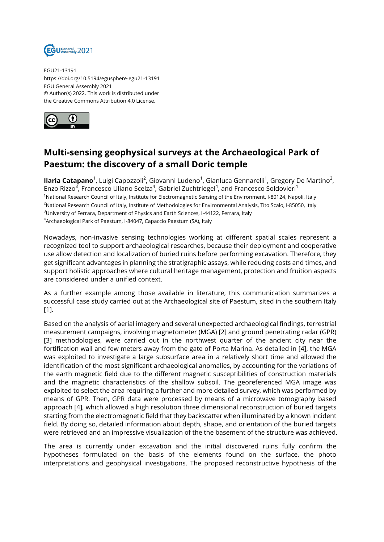

EGU21-13191 https://doi.org/10.5194/egusphere-egu21-13191 EGU General Assembly 2021 © Author(s) 2022. This work is distributed under the Creative Commons Attribution 4.0 License.



## **Multi-sensing geophysical surveys at the Archaeological Park of Paestum: the discovery of a small Doric temple**

**Ilaria Catapano**<sup>1</sup>, Luigi Capozzoli<sup>2</sup>, Giovanni Ludeno<sup>1</sup>, Gianluca Gennarelli<sup>1</sup>, Gregory De Martino<sup>2</sup>, Enzo Rizzo<sup>3</sup>, Francesco Uliano Scelza<sup>4</sup>, Gabriel Zuchtriegel<sup>4</sup>, and Francesco Soldovieri<sup>1</sup> <sup>1</sup>National Research Council of Italy, Institute for Electromagnetic Sensing of the Environment, I-80124, Napoli, Italy <sup>2</sup>National Research Council of Italy, Institute of Methodologies for Environmental Analysis, Tito Scalo, I-85050, Italy <sup>3</sup>University of Ferrara, Department of Physics and Earth Sciences, I-44122, Ferrara, Italy <sup>4</sup>Archaeological Park of Paestum, I-84047, Capaccio Paestum (SA), Italy

Nowadays, non-invasive sensing technologies working at different spatial scales represent a recognized tool to support archaeological researches, because their deployment and cooperative use allow detection and localization of buried ruins before performing excavation. Therefore, they get significant advantages in planning the stratigraphic assays, while reducing costs and times, and support holistic approaches where cultural heritage management, protection and fruition aspects are considered under a unified context.

As a further example among those available in literature, this communication summarizes a successful case study carried out at the Archaeological site of Paestum, sited in the southern Italy [1].

Based on the analysis of aerial imagery and several unexpected archaeological findings, terrestrial measurement campaigns, involving magnetometer (MGA) [2] and ground penetrating radar (GPR) [3] methodologies, were carried out in the northwest quarter of the ancient city near the fortification wall and few meters away from the gate of Porta Marina. As detailed in [4], the MGA was exploited to investigate a large subsurface area in a relatively short time and allowed the identification of the most significant archaeological anomalies, by accounting for the variations of the earth magnetic field due to the different magnetic susceptibilities of construction materials and the magnetic characteristics of the shallow subsoil. The georeferenced MGA image was exploited to select the area requiring a further and more detailed survey, which was performed by means of GPR. Then, GPR data were processed by means of a microwave tomography based approach [4], which allowed a high resolution three dimensional reconstruction of buried targets starting from the electromagnetic field that they backscatter when illuminated by a known incident field. By doing so, detailed information about depth, shape, and orientation of the buried targets were retrieved and an impressive visualization of the the basement of the structure was achieved.

The area is currently under excavation and the initial discovered ruins fully confirm the hypotheses formulated on the basis of the elements found on the surface, the photo interpretations and geophysical investigations. The proposed reconstructive hypothesis of the